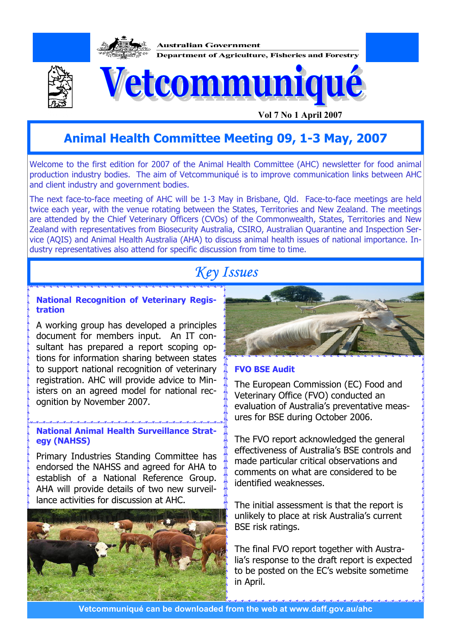

## **Animal Health Committee Meeting 09, 1-3 May, 2007**

Welcome to the first edition for 2007 of the Animal Health Committee (AHC) newsletter for food animal production industry bodies. The aim of Vetcommuniqué is to improve communication links between AHC and client industry and government bodies.

The next face-to-face meeting of AHC will be 1-3 May in Brisbane, Qld. Face-to-face meetings are held twice each year, with the venue rotating between the States, Territories and New Zealand. The meetings are attended by the Chief Veterinary Officers (CVOs) of the Commonwealth, States, Territories and New Zealand with representatives from Biosecurity Australia, CSIRO, Australian Quarantine and Inspection Service (AQIS) and Animal Health Australia (AHA) to discuss animal health issues of national importance. Industry representatives also attend for specific discussion from time to time.

# *Key Issues*

#### **National Recognition of Veterinary Registration**

A working group has developed a principles document for members input. An IT consultant has prepared a report scoping options for information sharing between states to support national recognition of veterinary registration. AHC will provide advice to Ministers on an agreed model for national recognition by November 2007.

### **National Animal Health Surveillance Strategy (NAHSS)**

Primary Industries Standing Committee has endorsed the NAHSS and agreed for AHA to establish of a National Reference Group. AHA will provide details of two new surveillance activities for discussion at AHC.





#### **FVO BSE Audit**

The European Commission (EC) Food and Veterinary Office (FVO) conducted an evaluation of Australia's preventative measures for BSE during October 2006.

The FVO report acknowledged the general effectiveness of Australia's BSE controls and made particular critical observations and comments on what are considered to be identified weaknesses.

The initial assessment is that the report is unlikely to place at risk Australia's current BSE risk ratings.

The final FVO report together with Australia's response to the draft report is expected to be posted on the EC's website sometime in April.

**Vetcommuniqué can be downloaded from the web at www.daff.gov.au/ahc**